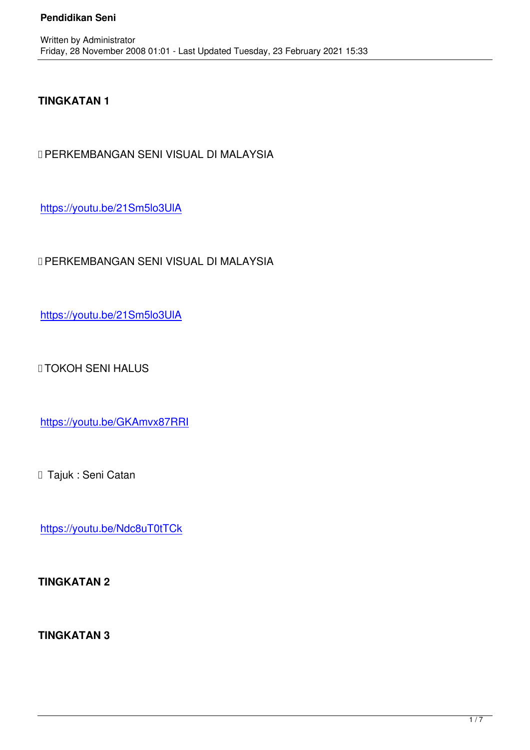## **TINGKATAN 1**

Written by Administrator and Administrator and Administrator and Administrator and Administrator and Administrator and Administrator and Administrator and Administrator and Administrator and Administrator and Administrator

✅PERKEMBANGAN SENI VISUAL DI MALAYSIA

https://youtu.be/21Sm5lo3UlA

[✅PERKEMBANGAN SENI VIS](https://youtu.be/21Sm5lo3UlA)UAL DI MALAYSIA

https://youtu.be/21Sm5lo3UlA

[✅TOKOH SENI HALUS](https://youtu.be/21Sm5lo3UlA)

https://youtu.be/GKAmvx87RRI

[✅ Tajuk : Seni Catan](https://youtu.be/GKAmvx87RRI)

https://youtu.be/Ndc8uT0tTCk

**[TINGKATAN 2](https://youtu.be/Ndc8uT0tTCk)**

**TINGKATAN 3**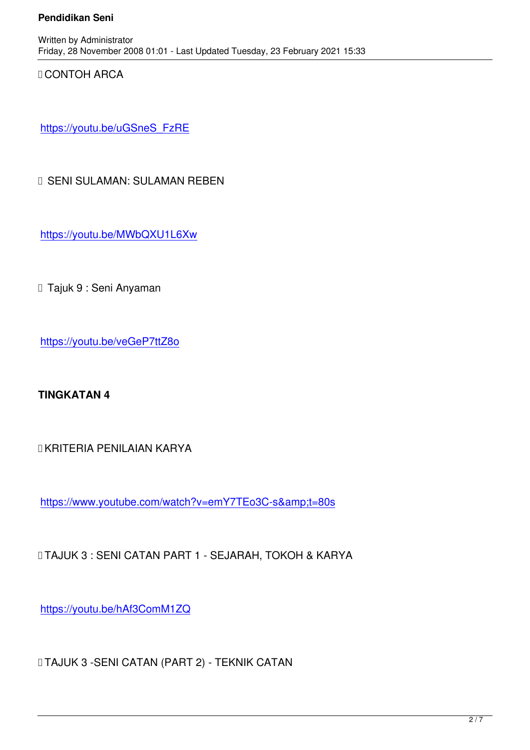✅CONTOH ARCA

https://youtu.be/uGSneS\_FzRE

[✅ SENI SULAMAN: SULAMAN R](https://youtu.be/uGSneS_FzRE)EBEN

https://youtu.be/MWbQXU1L6Xw

□ Tajuk 9 : Seni Anyaman

https://youtu.be/veGeP7ttZ8o

**[TINGKATAN 4](https://youtu.be/veGeP7ttZ8o)**

✅KRITERIA PENILAIAN KARYA

https://www.youtube.com/watch?v=emY7TEo3C-s&t=80s

[✅TAJUK 3 : SENI CATAN PART 1 - SEJARAH, TOKOH & KAR](https://www.youtube.com/watch?v=emY7TEo3C-s&t=80s)YA

https://youtu.be/hAf3ComM1ZQ

[✅TAJUK 3 -SENI CATAN \(PART](https://youtu.be/hAf3ComM1ZQ) 2) - TEKNIK CATAN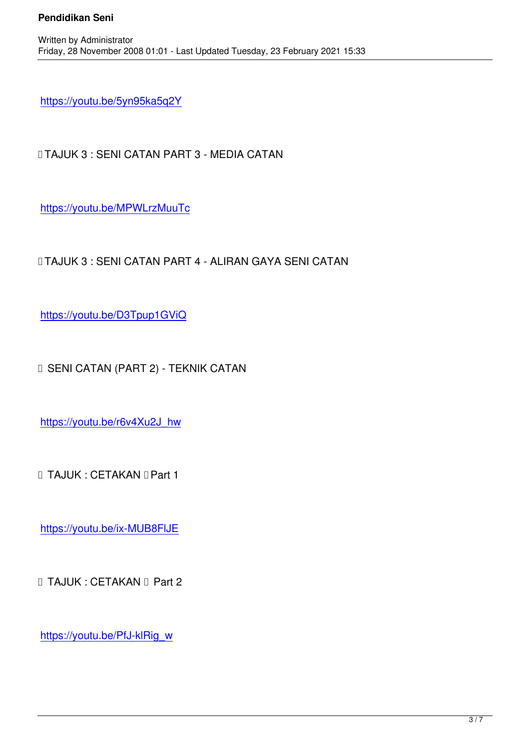https://youtu.be/5yn95ka5q2Y

Written by Administrator and Administrator and Administrator and Administrator and Administrator and Administrator and Administrator and Administrator and Administrator and Administrator and Administrator and Administrator

[✅TAJUK 3 : SENI CATAN PAR](https://youtu.be/5yn95ka5q2Y)T 3 - MEDIA CATAN

https://youtu.be/MPWLrzMuuTc

[✅TAJUK 3 : SENI CATAN PART](https://youtu.be/MPWLrzMuuTc) 4 - ALIRAN GAYA SENI CATAN

https://youtu.be/D3Tpup1GViQ

[✅ SENI CATAN \(PART 2\) - TEK](https://youtu.be/D3Tpup1GViQ)NIK CATAN

https://youtu.be/r6v4Xu2J\_hw

[✅ TAJUK : CETAKAN ✅Part 1](https://youtu.be/r6v4Xu2J_hw)

https://youtu.be/ix-MUB8FlJE

[✅ TAJUK : CETAKAN ✅ Part 2](https://youtu.be/ix-MUB8FlJE)

https://youtu.be/PfJ-klRig\_w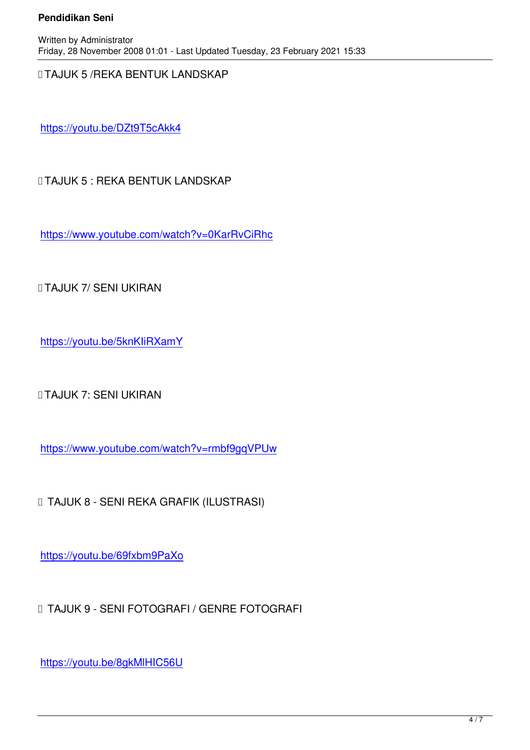✅TAJUK 5 /REKA BENTUK LANDSKAP

https://youtu.be/DZt9T5cAkk4

[✅TAJUK 5 : REKA BENTUK LA](https://youtu.be/DZt9T5cAkk4)NDSKAP

https://www.youtube.com/watch?v=0KarRvCiRhc

[✅TAJUK 7/ SENI UKIRAN](https://www.youtube.com/watch?v=0KarRvCiRhc)

https://youtu.be/5knKIiRXamY

[✅TAJUK 7: SENI UKIRAN](https://youtu.be/5knKIiRXamY)

https://www.youtube.com/watch?v=rmbf9gqVPUw

[✅ TAJUK 8 - SENI REKA GRAFIK \(ILUSTRASI\)](https://www.youtube.com/watch?v=rmbf9gqVPUw)

https://youtu.be/69fxbm9PaXo

[✅ TAJUK 9 - SENI FOTOGRAF](https://youtu.be/69fxbm9PaXo)I / GENRE FOTOGRAFI

https://youtu.be/8gkMlHIC56U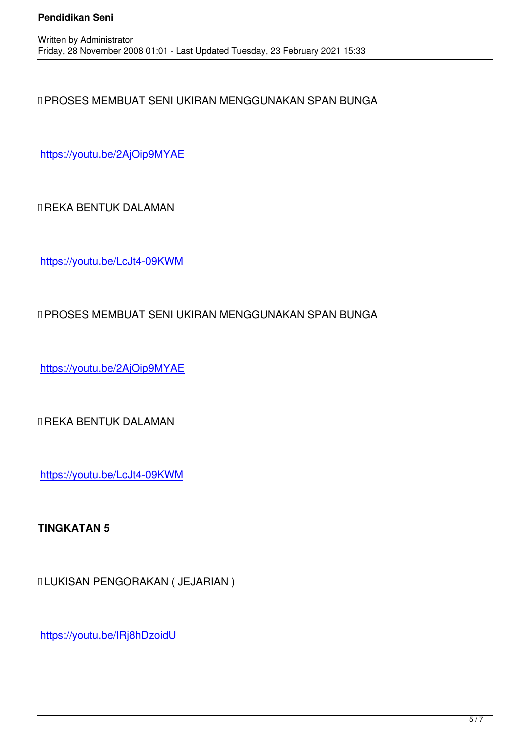✅PROSES MEMBUAT SENI UKIRAN MENGGUNAKAN SPAN BUNGA

https://youtu.be/2AjOip9MYAE

[✅REKA BENTUK DALAMAN](https://youtu.be/2AjOip9MYAE)

https://youtu.be/LcJt4-09KWM

## [✅PROSES MEMBUAT SENI U](https://youtu.be/LcJt4-09KWM)KIRAN MENGGUNAKAN SPAN BUNGA

https://youtu.be/2AjOip9MYAE

[✅REKA BENTUK DALAMAN](https://youtu.be/2AjOip9MYAE)

https://youtu.be/LcJt4-09KWM

**[TINGKATAN 5](https://youtu.be/LcJt4-09KWM)**

✅LUKISAN PENGORAKAN ( JEJARIAN )

https://youtu.be/IRj8hDzoidU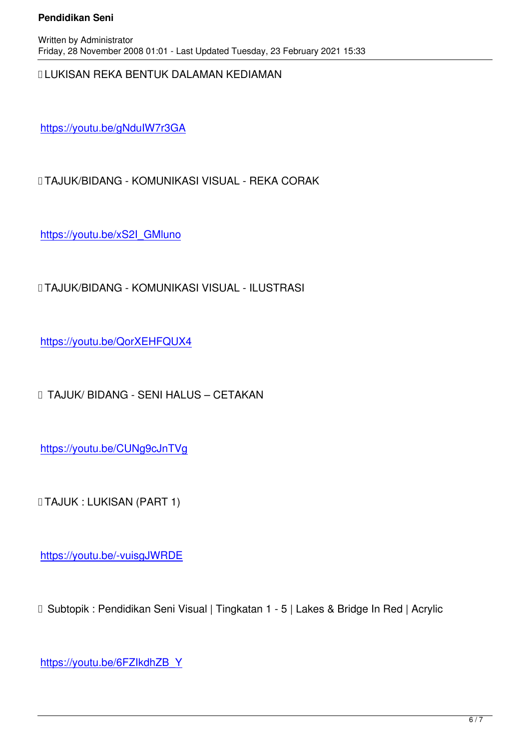✅LUKISAN REKA BENTUK DALAMAN KEDIAMAN

https://youtu.be/gNduIW7r3GA

[✅TAJUK/BIDANG - KOMUNIKA](https://youtu.be/gNduIW7r3GA)SI VISUAL - REKA CORAK

https://youtu.be/xS2I\_GMluno

[✅TAJUK/BIDANG - KOMUNIK](https://youtu.be/xS2I_GMluno)ASI VISUAL - ILUSTRASI

https://youtu.be/QorXEHFQUX4

[✅ TAJUK/ BIDANG - SENI HALU](https://youtu.be/QorXEHFQUX4)S – CETAKAN

https://youtu.be/CUNg9cJnTVg

[✅TAJUK : LUKISAN \(PART 1\)](https://youtu.be/CUNg9cJnTVg)

https://youtu.be/-vuisgJWRDE

□ Subtopik : Pendidikan Seni Visual | Tingkatan 1 - 5 | Lakes & Bridge In Red | Acrylic

https://youtu.be/6FZIkdhZB\_Y